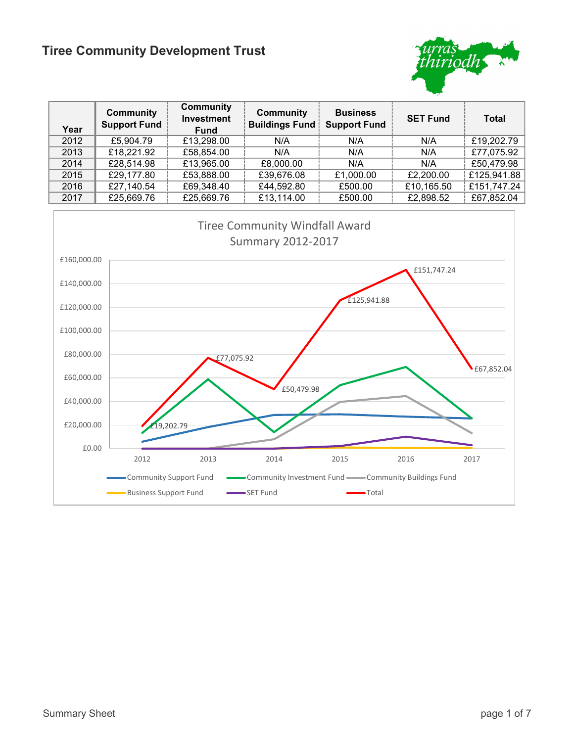

| Year | <b>Community</b><br><b>Support Fund</b> | <b>Community</b><br><b>Investment</b><br><b>Fund</b> | <b>Community</b><br><b>Buildings Fund</b> | <b>Business</b><br><b>Support Fund</b> | <b>SET Fund</b> | <b>Total</b> |
|------|-----------------------------------------|------------------------------------------------------|-------------------------------------------|----------------------------------------|-----------------|--------------|
| 2012 | £5,904.79                               | £13,298.00                                           | N/A                                       | N/A                                    | N/A             | £19,202.79   |
| 2013 | £18,221.92                              | £58,854.00                                           | N/A                                       | N/A                                    | N/A             | £77,075.92   |
| 2014 | £28,514.98                              | £13,965.00                                           | £8,000.00                                 | N/A                                    | N/A             | £50,479.98   |
| 2015 | £29,177.80                              | £53,888.00                                           | £39,676.08                                | £1,000.00                              | £2,200.00       | £125,941.88  |
| 2016 | £27,140.54                              | £69,348.40                                           | £44,592.80                                | £500.00                                | £10,165.50      | £151,747.24  |
| 2017 | £25,669.76                              | £25,669.76                                           | £13,114.00                                | £500.00                                | £2,898.52       | £67,852.04   |

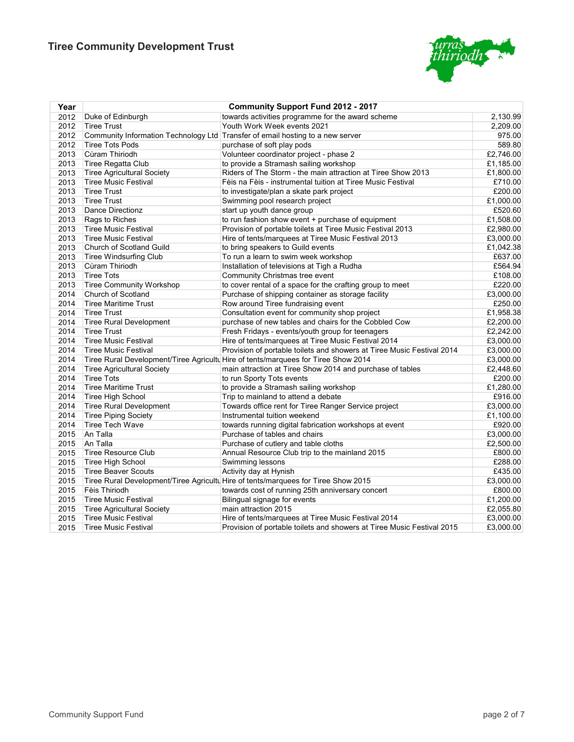

| Year |                                   | <b>Community Support Fund 2012 - 2017</b>                                          |           |
|------|-----------------------------------|------------------------------------------------------------------------------------|-----------|
| 2012 | Duke of Edinburgh                 | towards activities programme for the award scheme                                  | 2,130.99  |
| 2012 | <b>Tiree Trust</b>                | Youth Work Week events 2021                                                        | 2,209.00  |
| 2012 |                                   | Community Information Technology Ltd Transfer of email hosting to a new server     | 975.00    |
| 2012 | <b>Tiree Tots Pods</b>            | purchase of soft play pods                                                         | 589.80    |
| 2013 | Cùram Thiriodh                    | Volunteer coordinator project - phase 2                                            | £2,746.00 |
| 2013 | Tiree Regatta Club                | to provide a Stramash sailing workshop                                             | £1,185.00 |
| 2013 | <b>Tiree Agricultural Society</b> | Riders of The Storm - the main attraction at Tiree Show 2013                       | £1,800.00 |
| 2013 | <b>Tiree Music Festival</b>       | Fèis na Fèis - instrumental tuition at Tiree Music Festival                        | £710.00   |
| 2013 | <b>Tiree Trust</b>                | to investigate/plan a skate park project                                           | £200.00   |
| 2013 | <b>Tiree Trust</b>                | Swimming pool research project                                                     | £1,000.00 |
| 2013 | Dance Directionz                  | start up youth dance group                                                         | £520.60   |
| 2013 | Rags to Riches                    | to run fashion show event + purchase of equipment                                  | £1,508.00 |
| 2013 | <b>Tiree Music Festival</b>       | Provision of portable toilets at Tiree Music Festival 2013                         | £2,980.00 |
| 2013 | <b>Tiree Music Festival</b>       | Hire of tents/marquees at Tiree Music Festival 2013                                | £3,000.00 |
| 2013 | Church of Scotland Guild          | to bring speakers to Guild events                                                  | £1,042.38 |
| 2013 | Tiree Windsurfing Club            | To run a learn to swim week workshop                                               | £637.00   |
| 2013 | Cùram Thiriodh                    | Installation of televisions at Tigh a Rudha                                        | £564.94   |
| 2013 | <b>Tiree Tots</b>                 | Community Christmas tree event                                                     | £108.00   |
| 2013 | <b>Tiree Community Workshop</b>   | to cover rental of a space for the crafting group to meet                          | £220.00   |
| 2014 | Church of Scotland                | Purchase of shipping container as storage facility                                 | £3,000.00 |
| 2014 | Tiree Maritime Trust              | Row around Tiree fundraising event                                                 | £250.00   |
| 2014 | <b>Tiree Trust</b>                | Consultation event for community shop project                                      | £1,958.38 |
| 2014 | <b>Tiree Rural Development</b>    | purchase of new tables and chairs for the Cobbled Cow                              | £2,200.00 |
| 2014 | <b>Tiree Trust</b>                | Fresh Fridays - events/youth group for teenagers                                   | £2,242.00 |
| 2014 | Tiree Music Festival              | Hire of tents/marquees at Tiree Music Festival 2014                                | £3,000.00 |
| 2014 | <b>Tiree Music Festival</b>       | Provision of portable toilets and showers at Tiree Music Festival 2014             | £3,000.00 |
| 2014 |                                   | Tiree Rural Development/Tiree Agricultu Hire of tents/marquees for Tiree Show 2014 | £3,000.00 |
| 2014 | <b>Tiree Agricultural Society</b> | main attraction at Tiree Show 2014 and purchase of tables                          | £2,448.60 |
| 2014 | <b>Tiree Tots</b>                 | to run Sporty Tots events                                                          | £200.00   |
| 2014 | <b>Tiree Maritime Trust</b>       | to provide a Stramash sailing workshop                                             | £1,280.00 |
| 2014 | <b>Tiree High School</b>          | Trip to mainland to attend a debate                                                | £916.00   |
| 2014 | <b>Tiree Rural Development</b>    | Towards office rent for Tiree Ranger Service project                               | £3,000.00 |
| 2014 | <b>Tiree Piping Society</b>       | Instrumental tuition weekend                                                       | £1,100.00 |
| 2014 | <b>Tiree Tech Wave</b>            | towards running digital fabrication workshops at event                             | £920.00   |
| 2015 | An Talla                          | Purchase of tables and chairs                                                      | £3,000.00 |
| 2015 | An Talla                          | Purchase of cutlery and table cloths                                               | £2,500.00 |
| 2015 | Tiree Resource Club               | Annual Resource Club trip to the mainland 2015                                     | £800.00   |
| 2015 | Tiree High School                 | Swimming lessons                                                                   | £288.00   |
| 2015 | <b>Tiree Beaver Scouts</b>        | Activity day at Hynish                                                             | £435.00   |
| 2015 |                                   | Tiree Rural Development/Tiree Agricultu Hire of tents/marquees for Tiree Show 2015 | £3,000.00 |
| 2015 | Fèis Thiriodh                     | towards cost of running 25th anniversary concert                                   | £800.00   |
| 2015 | <b>Tiree Music Festival</b>       | Bilingual signage for events                                                       | £1,200.00 |
| 2015 | <b>Tiree Agricultural Society</b> | main attraction 2015                                                               | £2,055.80 |
| 2015 | <b>Tiree Music Festival</b>       | Hire of tents/marquees at Tiree Music Festival 2014                                | £3,000.00 |
| 2015 | Tiree Music Festival              | Provision of portable toilets and showers at Tiree Music Festival 2015             | £3,000.00 |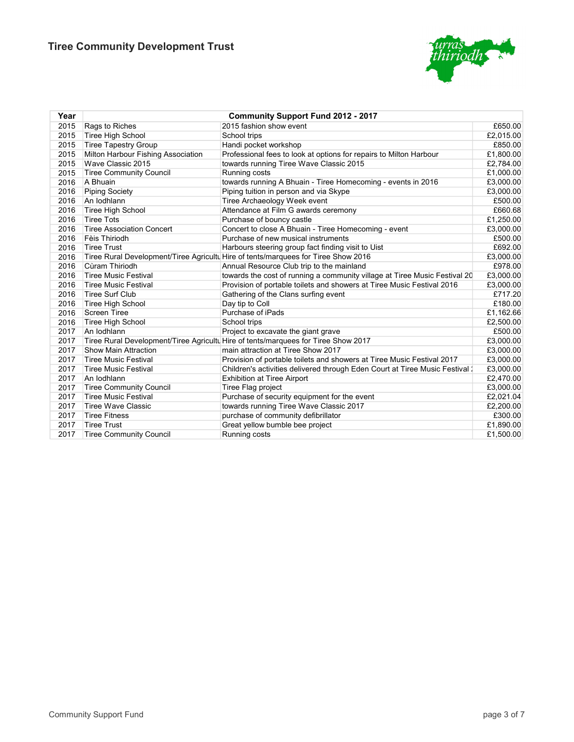

| Year | <b>Community Support Fund 2012 - 2017</b> |                                                                                    |           |  |  |
|------|-------------------------------------------|------------------------------------------------------------------------------------|-----------|--|--|
| 2015 | Rags to Riches                            | 2015 fashion show event                                                            | £650.00   |  |  |
| 2015 | Tiree High School                         | School trips                                                                       | £2,015.00 |  |  |
| 2015 | <b>Tiree Tapestry Group</b>               | Handi pocket workshop                                                              | £850.00   |  |  |
| 2015 | Milton Harbour Fishing Association        | Professional fees to look at options for repairs to Milton Harbour                 | £1,800.00 |  |  |
| 2015 | Wave Classic 2015                         | towards running Tiree Wave Classic 2015                                            | £2,784.00 |  |  |
| 2015 | <b>Tiree Community Council</b>            | Running costs                                                                      | £1,000.00 |  |  |
| 2016 | A Bhuain                                  | towards running A Bhuain - Tiree Homecoming - events in 2016                       | £3,000.00 |  |  |
| 2016 | <b>Piping Society</b>                     | Piping tuition in person and via Skype                                             | £3,000.00 |  |  |
| 2016 | An Iodhlann                               | Tiree Archaeology Week event                                                       | £500.00   |  |  |
| 2016 | Tiree High School                         | Attendance at Film G awards ceremony                                               | £660.68   |  |  |
| 2016 | <b>Tiree Tots</b>                         | Purchase of bouncy castle                                                          | £1,250.00 |  |  |
| 2016 | <b>Tiree Association Concert</b>          | Concert to close A Bhuain - Tiree Homecoming - event                               | £3,000.00 |  |  |
| 2016 | Fèis Thiriodh                             | Purchase of new musical instruments                                                | £500.00   |  |  |
| 2016 | <b>Tiree Trust</b>                        | Harbours steering group fact finding visit to Uist                                 | £692.00   |  |  |
| 2016 |                                           | Tiree Rural Development/Tiree Agricultu Hire of tents/marquees for Tiree Show 2016 | £3,000.00 |  |  |
| 2016 | Cùram Thiriodh                            | Annual Resource Club trip to the mainland                                          | £978.00   |  |  |
| 2016 | <b>Tiree Music Festival</b>               | towards the cost of running a community village at Tiree Music Festival 20         | £3,000.00 |  |  |
| 2016 | <b>Tiree Music Festival</b>               | Provision of portable toilets and showers at Tiree Music Festival 2016             | £3,000.00 |  |  |
| 2016 | <b>Tiree Surf Club</b>                    | Gathering of the Clans surfing event                                               | £717.20   |  |  |
| 2016 | Tiree High School                         | Day tip to Coll                                                                    | £180.00   |  |  |
| 2016 | <b>Screen Tiree</b>                       | Purchase of iPads                                                                  | £1,162.66 |  |  |
| 2016 | Tiree High School                         | School trips                                                                       | £2,500.00 |  |  |
| 2017 | An Iodhlann                               | Project to excavate the giant grave                                                | £500.00   |  |  |
| 2017 |                                           | Tiree Rural Development/Tiree Agricultu Hire of tents/marquees for Tiree Show 2017 | £3,000.00 |  |  |
| 2017 | <b>Show Main Attraction</b>               | main attraction at Tiree Show 2017                                                 | £3,000.00 |  |  |
| 2017 | <b>Tiree Music Festival</b>               | Provision of portable toilets and showers at Tiree Music Festival 2017             | £3,000.00 |  |  |
| 2017 | <b>Tiree Music Festival</b>               | Children's activities delivered through Eden Court at Tiree Music Festival 1       | £3,000.00 |  |  |
| 2017 | An Iodhlann                               | <b>Exhibition at Tiree Airport</b>                                                 | £2,470.00 |  |  |
| 2017 | <b>Tiree Community Council</b>            | Tiree Flag project                                                                 | £3,000.00 |  |  |
| 2017 | <b>Tiree Music Festival</b>               | Purchase of security equipment for the event                                       | £2,021.04 |  |  |
| 2017 | <b>Tiree Wave Classic</b>                 | towards running Tiree Wave Classic 2017                                            | £2,200.00 |  |  |
| 2017 | <b>Tiree Fitness</b>                      | purchase of community defibrillator                                                | £300.00   |  |  |
| 2017 | <b>Tiree Trust</b>                        | Great yellow bumble bee project                                                    | £1,890.00 |  |  |
| 2017 | <b>Tiree Community Council</b>            | Running costs                                                                      | £1,500.00 |  |  |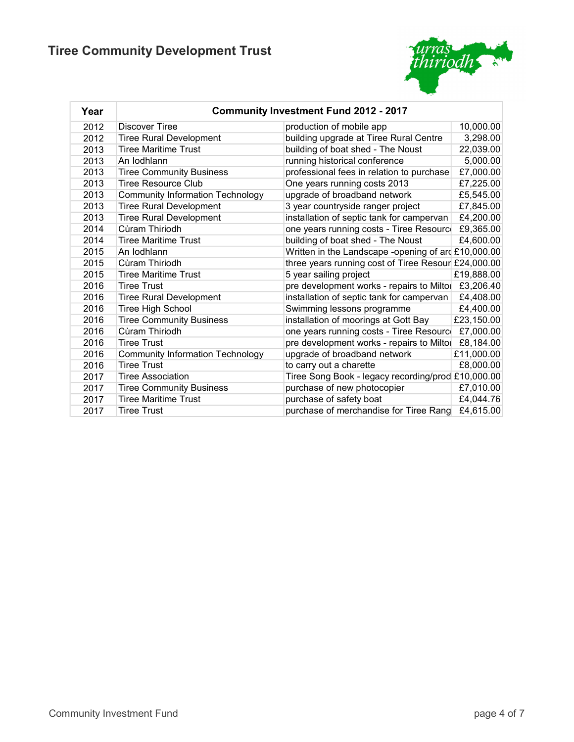

| Year |                                         | <b>Community Investment Fund 2012 - 2017</b>        |            |
|------|-----------------------------------------|-----------------------------------------------------|------------|
| 2012 | <b>Discover Tiree</b>                   | production of mobile app                            | 10,000.00  |
| 2012 | <b>Tiree Rural Development</b>          | building upgrade at Tiree Rural Centre              | 3,298.00   |
| 2013 | <b>Tiree Maritime Trust</b>             | building of boat shed - The Noust                   | 22,039.00  |
| 2013 | An Iodhlann                             | running historical conference                       | 5,000.00   |
| 2013 | <b>Tiree Community Business</b>         | professional fees in relation to purchase           | £7,000.00  |
| 2013 | <b>Tiree Resource Club</b>              | One years running costs 2013                        | £7,225.00  |
| 2013 | <b>Community Information Technology</b> | upgrade of broadband network                        | £5,545.00  |
| 2013 | <b>Tiree Rural Development</b>          | 3 year countryside ranger project                   | £7,845.00  |
| 2013 | <b>Tiree Rural Development</b>          | installation of septic tank for campervan           | £4,200.00  |
| 2014 | Cùram Thiriodh                          | one years running costs - Tiree Resourc             | £9,365.00  |
| 2014 | <b>Tiree Maritime Trust</b>             | building of boat shed - The Noust                   | £4,600.00  |
| 2015 | An Iodhlann                             | Written in the Landscape -opening of ard £10,000.00 |            |
| 2015 | Cùram Thiriodh                          | three years running cost of Tiree Resour £24,000.00 |            |
| 2015 | <b>Tiree Maritime Trust</b>             | 5 year sailing project                              | £19,888.00 |
| 2016 | <b>Tiree Trust</b>                      | pre development works - repairs to Miltol           | £3,206.40  |
| 2016 | <b>Tiree Rural Development</b>          | installation of septic tank for campervan           | £4,408.00  |
| 2016 | Tiree High School                       | Swimming lessons programme                          | £4,400.00  |
| 2016 | <b>Tiree Community Business</b>         | installation of moorings at Gott Bay                | £23,150.00 |
| 2016 | Cùram Thiriodh                          | one years running costs - Tiree Resourc             | £7,000.00  |
| 2016 | <b>Tiree Trust</b>                      | pre development works - repairs to Miltor           | £8,184.00  |
| 2016 | <b>Community Information Technology</b> | upgrade of broadband network                        | £11,000.00 |
| 2016 | <b>Tiree Trust</b>                      | to carry out a charette                             | £8,000.00  |
| 2017 | Tiree Association                       | Tiree Song Book - legacy recording/prod £10,000.00  |            |
| 2017 | <b>Tiree Community Business</b>         | purchase of new photocopier                         | £7,010.00  |
| 2017 | <b>Tiree Maritime Trust</b>             | purchase of safety boat                             | £4,044.76  |
| 2017 | Tiree Trust                             | purchase of merchandise for Tiree Rang              | £4,615.00  |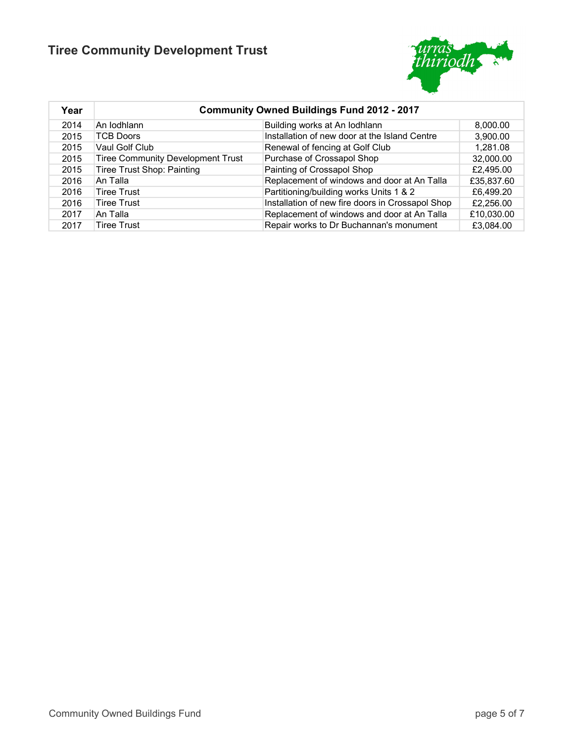

| Year | <b>Community Owned Buildings Fund 2012 - 2017</b> |                                                  |            |  |
|------|---------------------------------------------------|--------------------------------------------------|------------|--|
| 2014 | An Iodhlann                                       | Building works at An Iodhlann                    | 8,000.00   |  |
| 2015 | TCB Doors                                         | Installation of new door at the Island Centre    | 3,900.00   |  |
| 2015 | Vaul Golf Club                                    | Renewal of fencing at Golf Club                  | 1,281.08   |  |
| 2015 | <b>Tiree Community Development Trust</b>          | Purchase of Crossapol Shop                       | 32,000.00  |  |
| 2015 | <b>Tiree Trust Shop: Painting</b>                 | Painting of Crossapol Shop                       | £2,495.00  |  |
| 2016 | An Talla                                          | Replacement of windows and door at An Talla      | £35,837.60 |  |
| 2016 | <b>Tiree Trust</b>                                | Partitioning/building works Units 1 & 2          | £6,499.20  |  |
| 2016 | <b>Tiree Trust</b>                                | Installation of new fire doors in Crossapol Shop | £2,256.00  |  |
| 2017 | An Talla                                          | Replacement of windows and door at An Talla      | £10,030.00 |  |
| 2017 | Tiree Trust                                       | Repair works to Dr Buchannan's monument          | £3,084.00  |  |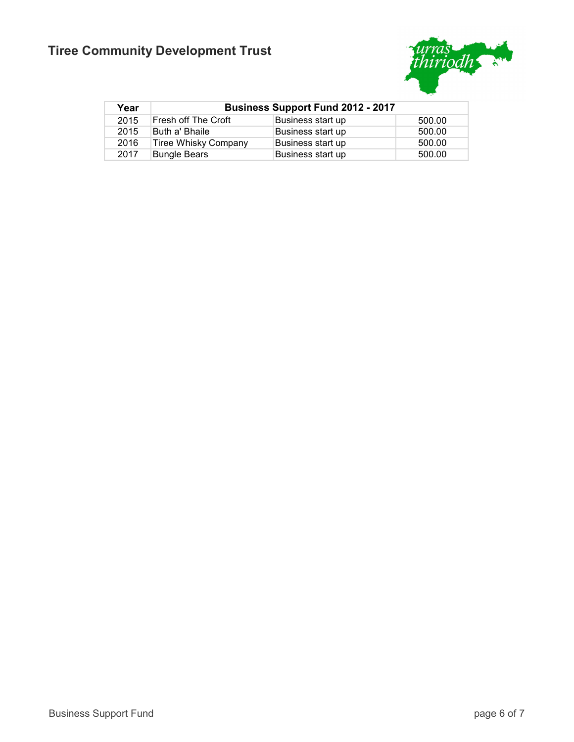

| Year | <b>Business Support Fund 2012 - 2017</b> |                   |        |  |
|------|------------------------------------------|-------------------|--------|--|
| 2015 | Fresh off The Croft                      | Business start up | 500.00 |  |
| 2015 | Buth a' Bhaile                           | Business start up | 500.00 |  |
| 2016 | Tiree Whisky Company                     | Business start up | 500.00 |  |
| 2017 | Bungle Bears                             | Business start up | 500.00 |  |